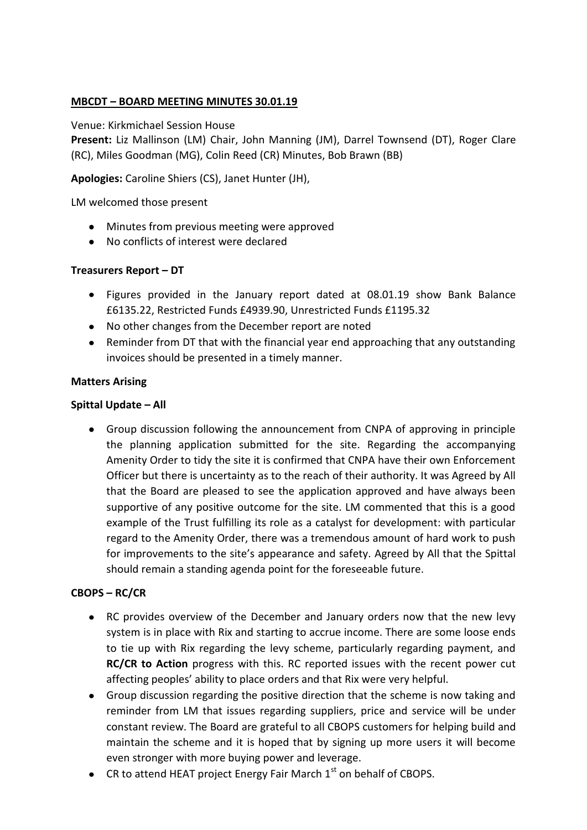# **MBCDT – BOARD MEETING MINUTES 30.01.19**

#### Venue: Kirkmichael Session House

**Present:** Liz Mallinson (LM) Chair, John Manning (JM), Darrel Townsend (DT), Roger Clare (RC), Miles Goodman (MG), Colin Reed (CR) Minutes, Bob Brawn (BB)

**Apologies:** Caroline Shiers (CS), Janet Hunter (JH),

LM welcomed those present

- Minutes from previous meeting were approved
- No conflicts of interest were declared

#### **Treasurers Report – DT**

- Figures provided in the January report dated at 08.01.19 show Bank Balance  $\bullet$ £6135.22, Restricted Funds £4939.90, Unrestricted Funds £1195.32
- No other changes from the December report are noted
- Reminder from DT that with the financial year end approaching that any outstanding invoices should be presented in a timely manner.

#### **Matters Arising**

#### **Spittal Update – All**

Group discussion following the announcement from CNPA of approving in principle the planning application submitted for the site. Regarding the accompanying Amenity Order to tidy the site it is confirmed that CNPA have their own Enforcement Officer but there is uncertainty as to the reach of their authority. It was Agreed by All that the Board are pleased to see the application approved and have always been supportive of any positive outcome for the site. LM commented that this is a good example of the Trust fulfilling its role as a catalyst for development: with particular regard to the Amenity Order, there was a tremendous amount of hard work to push for improvements to the site's appearance and safety. Agreed by All that the Spittal should remain a standing agenda point for the foreseeable future.

# **CBOPS – RC/CR**

- RC provides overview of the December and January orders now that the new levy system is in place with Rix and starting to accrue income. There are some loose ends to tie up with Rix regarding the levy scheme, particularly regarding payment, and **RC/CR to Action** progress with this. RC reported issues with the recent power cut affecting peoples' ability to place orders and that Rix were very helpful.
- Group discussion regarding the positive direction that the scheme is now taking and reminder from LM that issues regarding suppliers, price and service will be under constant review. The Board are grateful to all CBOPS customers for helping build and maintain the scheme and it is hoped that by signing up more users it will become even stronger with more buying power and leverage.
- CR to attend HEAT project Energy Fair March  $1<sup>st</sup>$  on behalf of CBOPS.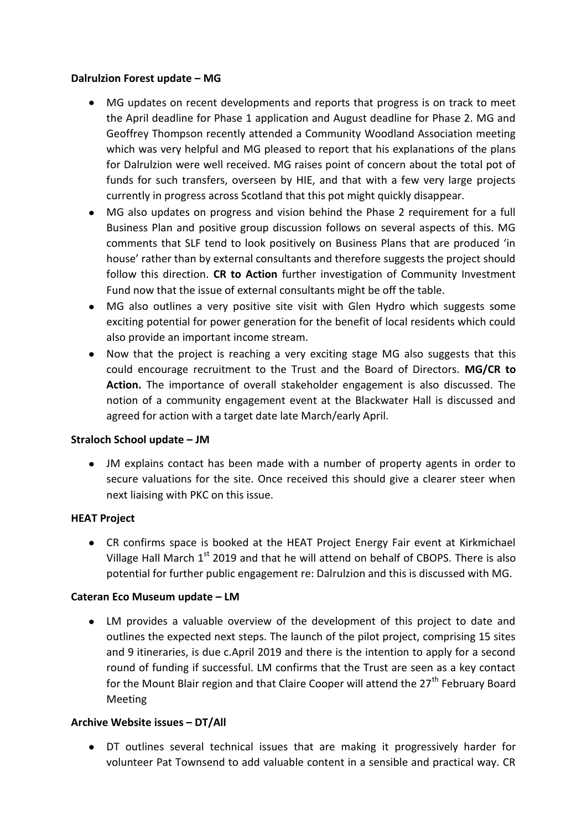#### **Dalrulzion Forest update – MG**

- MG updates on recent developments and reports that progress is on track to meet the April deadline for Phase 1 application and August deadline for Phase 2. MG and Geoffrey Thompson recently attended a Community Woodland Association meeting which was very helpful and MG pleased to report that his explanations of the plans for Dalrulzion were well received. MG raises point of concern about the total pot of funds for such transfers, overseen by HIE, and that with a few very large projects currently in progress across Scotland that this pot might quickly disappear.
- MG also updates on progress and vision behind the Phase 2 requirement for a full Business Plan and positive group discussion follows on several aspects of this. MG comments that SLF tend to look positively on Business Plans that are produced 'in house' rather than by external consultants and therefore suggests the project should follow this direction. **CR to Action** further investigation of Community Investment Fund now that the issue of external consultants might be off the table.
- MG also outlines a very positive site visit with Glen Hydro which suggests some  $\bullet$ exciting potential for power generation for the benefit of local residents which could also provide an important income stream.
- Now that the project is reaching a very exciting stage MG also suggests that this  $\bullet$ could encourage recruitment to the Trust and the Board of Directors. **MG/CR to Action.** The importance of overall stakeholder engagement is also discussed. The notion of a community engagement event at the Blackwater Hall is discussed and agreed for action with a target date late March/early April.

# **Straloch School update – JM**

JM explains contact has been made with a number of property agents in order to secure valuations for the site. Once received this should give a clearer steer when next liaising with PKC on this issue.

# **HEAT Project**

CR confirms space is booked at the HEAT Project Energy Fair event at Kirkmichael Village Hall March  $1<sup>st</sup>$  2019 and that he will attend on behalf of CBOPS. There is also potential for further public engagement re: Dalrulzion and this is discussed with MG.

# **Cateran Eco Museum update – LM**

LM provides a valuable overview of the development of this project to date and outlines the expected next steps. The launch of the pilot project, comprising 15 sites and 9 itineraries, is due c.April 2019 and there is the intention to apply for a second round of funding if successful. LM confirms that the Trust are seen as a key contact for the Mount Blair region and that Claire Cooper will attend the  $27<sup>th</sup>$  February Board Meeting

# **Archive Website issues – DT/All**

DT outlines several technical issues that are making it progressively harder for volunteer Pat Townsend to add valuable content in a sensible and practical way. CR